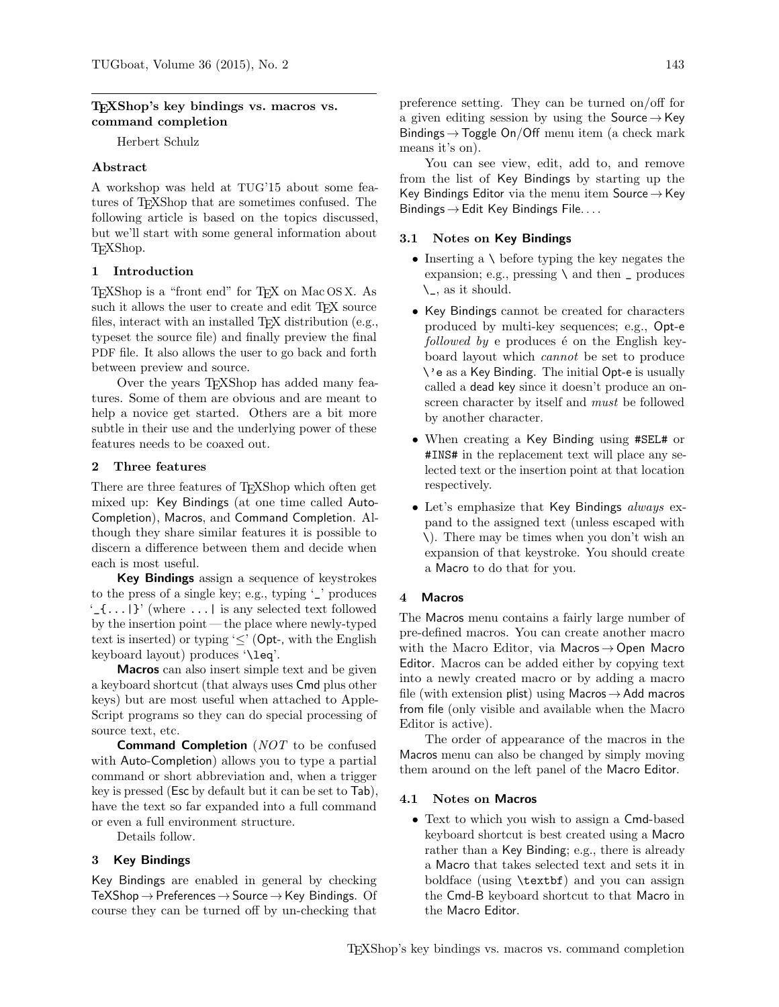### TEXShop's key bindings vs. macros vs. command completion

Herbert Schulz

## Abstract

A workshop was held at TUG'15 about some features of TEXShop that are sometimes confused. The following article is based on the topics discussed, but we'll start with some general information about TEXShop.

## 1 Introduction

TEXShop is a "front end" for TEX on Mac OS X. As such it allows the user to create and edit T<sub>E</sub>X source files, interact with an installed T<sub>E</sub>X distribution (e.g., typeset the source file) and finally preview the final PDF file. It also allows the user to go back and forth between preview and source.

Over the years T<sub>E</sub>XShop has added many features. Some of them are obvious and are meant to help a novice get started. Others are a bit more subtle in their use and the underlying power of these features needs to be coaxed out.

### 2 Three features

There are three features of TEXShop which often get mixed up: Key Bindings (at one time called Auto-Completion), Macros, and Command Completion. Although they share similar features it is possible to discern a difference between them and decide when each is most useful.

Key Bindings assign a sequence of keystrokes to the press of a single key; e.g., typing '\_' produces  $\{\ldots\}$  (where  $\ldots$ ) is any selected text followed by the insertion point — the place where newly-typed text is inserted) or typing ' $\leq'$  (Opt-, with the English keyboard layout) produces '\leq'.

Macros can also insert simple text and be given a keyboard shortcut (that always uses Cmd plus other keys) but are most useful when attached to Apple-Script programs so they can do special processing of source text, etc.

**Command Completion** (NOT to be confused with Auto-Completion) allows you to type a partial command or short abbreviation and, when a trigger key is pressed (Esc by default but it can be set to Tab), have the text so far expanded into a full command or even a full environment structure.

Details follow.

## 3 Key Bindings

Key Bindings are enabled in general by checking  $TeXShop \rightarrow Preferences \rightarrow Source \rightarrow Key Binding. Of$ course they can be turned off by un-checking that preference setting. They can be turned on/off for a given editing session by using the Source  $\rightarrow$  Key Bindings  $\rightarrow$  Toggle On/Off menu item (a check mark means it's on).

You can see view, edit, add to, and remove from the list of Key Bindings by starting up the Key Bindings Editor via the menu item Source  $\rightarrow$  Key Bindings  $\rightarrow$  Edit Key Bindings File. . . .

### 3.1 Notes on Key Bindings

- Inserting a  $\setminus$  before typing the key negates the expansion; e.g., pressing  $\setminus$  and then  $\square$  produces \\_, as it should.
- Key Bindings cannot be created for characters produced by multi-key sequences; e.g., Opt-e followed by e produces  $\acute{e}$  on the English keyboard layout which cannot be set to produce \'e as a Key Binding. The initial Opt-e is usually called a dead key since it doesn't produce an onscreen character by itself and must be followed by another character.
- When creating a Key Binding using #SEL# or #INS# in the replacement text will place any selected text or the insertion point at that location respectively.
- Let's emphasize that Key Bindings always expand to the assigned text (unless escaped with \). There may be times when you don't wish an expansion of that keystroke. You should create a Macro to do that for you.

#### 4 Macros

The Macros menu contains a fairly large number of pre-defined macros. You can create another macro with the Macro Editor, via Macros  $\rightarrow$  Open Macro Editor. Macros can be added either by copying text into a newly created macro or by adding a macro file (with extension plist) using Macros  $\rightarrow$  Add macros from file (only visible and available when the Macro Editor is active).

The order of appearance of the macros in the Macros menu can also be changed by simply moving them around on the left panel of the Macro Editor.

#### 4.1 Notes on Macros

• Text to which you wish to assign a Cmd-based keyboard shortcut is best created using a Macro rather than a Key Binding; e.g., there is already a Macro that takes selected text and sets it in boldface (using \textbf) and you can assign the Cmd-B keyboard shortcut to that Macro in the Macro Editor.